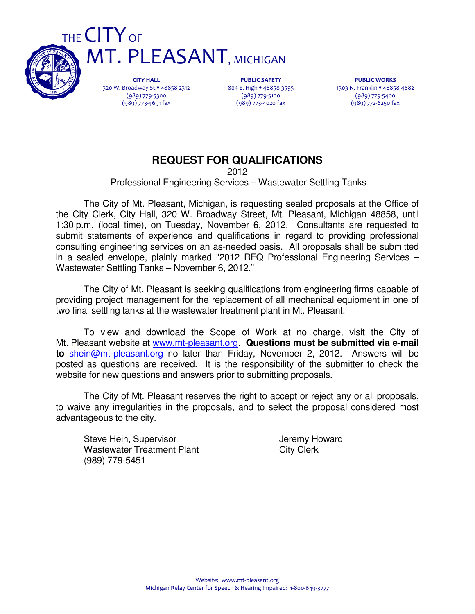

CITY HALL 320 W. Broadway St.• 48858-2312 (989) 779-5300 (989) 773-4691 fax

**MT. PLEASANT, MICHIGAN** 

PUBLIC SAFETY 804 E. High • 48858-3595 (989) 779-5100 (989) 773-4020 fax

PUBLIC WORKS 1303 N. Franklin • 48858-4682 (989) 779-5400 (989) 772-6250 fax

# **REQUEST FOR QUALIFICATIONS**

2012

Professional Engineering Services – Wastewater Settling Tanks

 The City of Mt. Pleasant, Michigan, is requesting sealed proposals at the Office of the City Clerk, City Hall, 320 W. Broadway Street, Mt. Pleasant, Michigan 48858, until 1:30 p.m. (local time), on Tuesday, November 6, 2012. Consultants are requested to submit statements of experience and qualifications in regard to providing professional consulting engineering services on an as-needed basis. All proposals shall be submitted in a sealed envelope, plainly marked "2012 RFQ Professional Engineering Services – Wastewater Settling Tanks – November 6, 2012."

 The City of Mt. Pleasant is seeking qualifications from engineering firms capable of providing project management for the replacement of all mechanical equipment in one of two final settling tanks at the wastewater treatment plant in Mt. Pleasant.

 To view and download the Scope of Work at no charge, visit the City of Mt. Pleasant website at www.mt-pleasant.org. **Questions must be submitted via e-mail to** shein@mt-pleasant.org no later than Friday, November 2, 2012. Answers will be posted as questions are received. It is the responsibility of the submitter to check the website for new questions and answers prior to submitting proposals.

 The City of Mt. Pleasant reserves the right to accept or reject any or all proposals, to waive any irregularities in the proposals, and to select the proposal considered most advantageous to the city.

Steve Hein, Supervisor **Jeremy Howard** Wastewater Treatment Plant City Clerk (989) 779-5451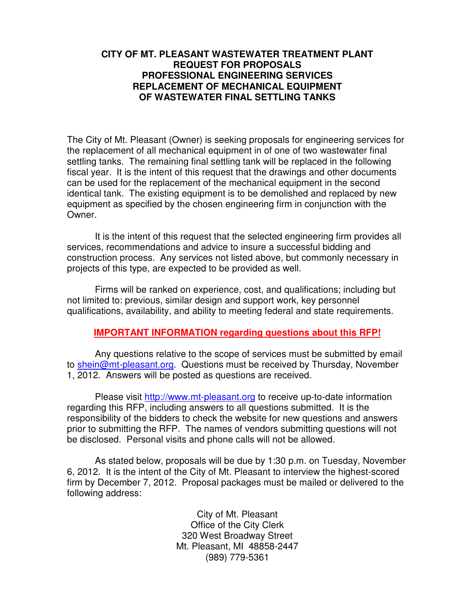#### **CITY OF MT. PLEASANT WASTEWATER TREATMENT PLANT REQUEST FOR PROPOSALS PROFESSIONAL ENGINEERING SERVICES REPLACEMENT OF MECHANICAL EQUIPMENT OF WASTEWATER FINAL SETTLING TANKS**

The City of Mt. Pleasant (Owner) is seeking proposals for engineering services for the replacement of all mechanical equipment in of one of two wastewater final settling tanks. The remaining final settling tank will be replaced in the following fiscal year. It is the intent of this request that the drawings and other documents can be used for the replacement of the mechanical equipment in the second identical tank. The existing equipment is to be demolished and replaced by new equipment as specified by the chosen engineering firm in conjunction with the Owner.

 It is the intent of this request that the selected engineering firm provides all services, recommendations and advice to insure a successful bidding and construction process. Any services not listed above, but commonly necessary in projects of this type, are expected to be provided as well.

 Firms will be ranked on experience, cost, and qualifications; including but not limited to: previous, similar design and support work, key personnel qualifications, availability, and ability to meeting federal and state requirements.

#### **IMPORTANT INFORMATION regarding questions about this RFP!**

 Any questions relative to the scope of services must be submitted by email to shein@mt-pleasant.org. Questions must be received by Thursday, November 1, 2012. Answers will be posted as questions are received.

 Please visit http://www.mt-pleasant.org to receive up-to-date information regarding this RFP, including answers to all questions submitted. It is the responsibility of the bidders to check the website for new questions and answers prior to submitting the RFP. The names of vendors submitting questions will not be disclosed. Personal visits and phone calls will not be allowed.

 As stated below, proposals will be due by 1:30 p.m. on Tuesday, November 6, 2012. It is the intent of the City of Mt. Pleasant to interview the highest-scored firm by December 7, 2012. Proposal packages must be mailed or delivered to the following address:

> City of Mt. Pleasant Office of the City Clerk 320 West Broadway Street Mt. Pleasant, MI 48858-2447 (989) 779-5361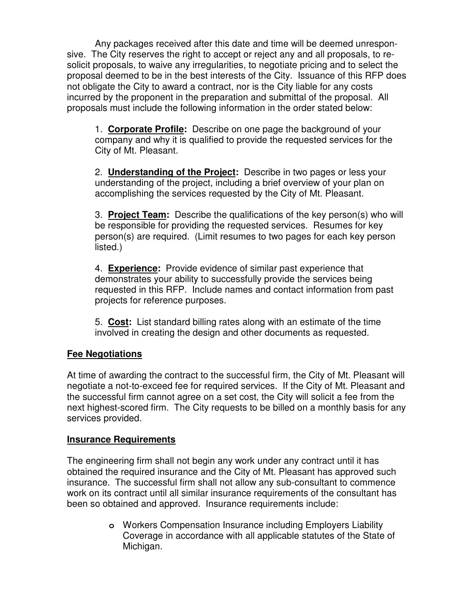Any packages received after this date and time will be deemed unresponsive. The City reserves the right to accept or reject any and all proposals, to resolicit proposals, to waive any irregularities, to negotiate pricing and to select the proposal deemed to be in the best interests of the City. Issuance of this RFP does not obligate the City to award a contract, nor is the City liable for any costs incurred by the proponent in the preparation and submittal of the proposal. All proposals must include the following information in the order stated below:

 1. **Corporate Profile:** Describe on one page the background of your company and why it is qualified to provide the requested services for the City of Mt. Pleasant.

 2. **Understanding of the Project:** Describe in two pages or less your understanding of the project, including a brief overview of your plan on accomplishing the services requested by the City of Mt. Pleasant.

 3. **Project Team:** Describe the qualifications of the key person(s) who will be responsible for providing the requested services. Resumes for key person(s) are required. (Limit resumes to two pages for each key person listed.)

 4. **Experience:** Provide evidence of similar past experience that demonstrates your ability to successfully provide the services being requested in this RFP. Include names and contact information from past projects for reference purposes.

 5. **Cost:** List standard billing rates along with an estimate of the time involved in creating the design and other documents as requested.

## **Fee Negotiations**

At time of awarding the contract to the successful firm, the City of Mt. Pleasant will negotiate a not-to-exceed fee for required services. If the City of Mt. Pleasant and the successful firm cannot agree on a set cost, the City will solicit a fee from the next highest-scored firm. The City requests to be billed on a monthly basis for any services provided.

## **Insurance Requirements**

The engineering firm shall not begin any work under any contract until it has obtained the required insurance and the City of Mt. Pleasant has approved such insurance. The successful firm shall not allow any sub-consultant to commence work on its contract until all similar insurance requirements of the consultant has been so obtained and approved. Insurance requirements include:

> **o** Workers Compensation Insurance including Employers Liability Coverage in accordance with all applicable statutes of the State of Michigan.